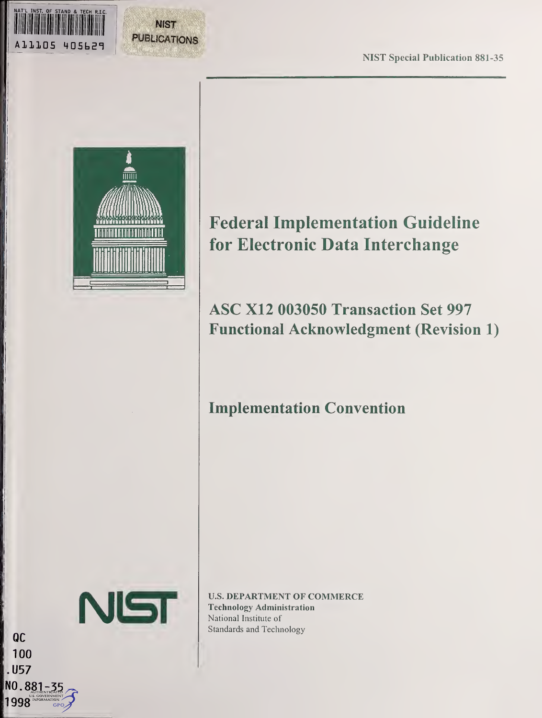NIST Special Publication 881-35



**NIST PUBLICATIONS** 

NAT'L INST. OF STAND & TECH R.I.C.

i ma min' min' any any mandritry ny faritry fa **A11105 405629** 

# Federal Implementation Guideline for Electronic Data Interchange

# ASC X12 003050 Transaction Set 997 Functional Acknowledgment (Revision 1)

# Implementation Convention



QC

100

.U57

1998

NO. 881-35

U.S. DEPARTMENT OF COMMERCE Technology Administration National Institute of Standards and Technology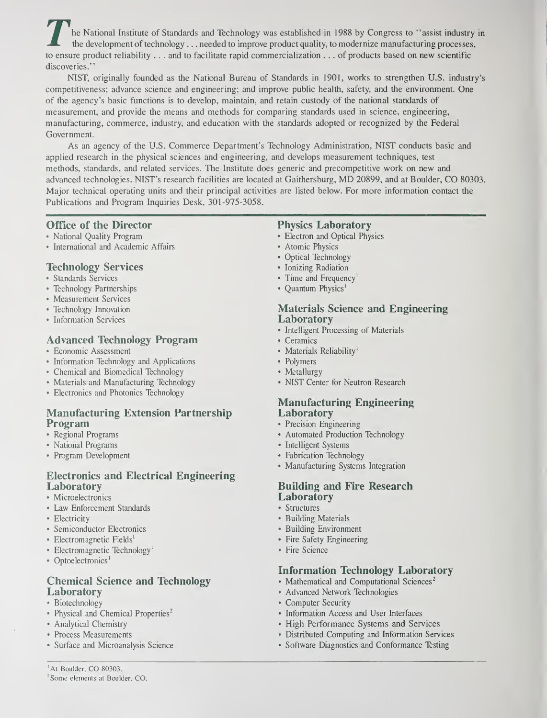he National Institute of Standards and Technology was established in 1988 by Congress to "assist industry in the development of technology . . . needed to improve product quality, to modernize manufacturing processes, to ensure product reliability . . . and to facilitate rapid commercialization ... of products based on new scientific discoveries."

NIST, originally founded as the National Bureau of Standards in 1901, works to strengthen U.S. industry's competitiveness; advance science and engineering; and improve public health, safety, and the environment. One of the agency's basic functions is to develop, maintain, and retain custody of the national standards of measurement, and provide the means and methods for comparing standards used in science, engineering, manufacturing, commerce, industry, and education with the standards adopted or recognized by the Federal Government.

As an agency of the U.S. Commerce Department's Technology Administration, NIST conducts basic and applied research in the physical sciences and engineering, and develops measurement techniques, test methods, standards, and related services. The Institute does generic and precompetitive work on new and advanced technologies. NIST's research facilities are located at Gaithersburg, MD 20899, and at Boulder, CO 80303. Major technical operating units and their principal activities are listed below. For more information contact the Publications and Program Inquiries Desk, 301-975-3058.

#### Office of the Director

- National Quality Program
- International and Academic Affairs

#### Technology Services

- Standards Services
- Technology Partnerships
- Measurement Services
- Technology Innovation
- Information Services

#### Advanced Technology Program

- Economic Assessment
- Information Technology and Applications
- Chemical and Biomedical Technology
- Materials and Manufacturing Technology
- Electronics and Photonics Technology

#### Manufacturing Extension Partnership Program

- Regional Programs
- National Programs
- Program Development

#### Electronics and Electrical Engineering Laboratory

- Microelectronics
- Law Enforcement Standards
- Electricity
- Semiconductor Electronics
- Electromagnetic Fields<sup>1</sup>
- Electromagnetic Technology<sup>1</sup>
- Optoelectronics'

#### Chemical Science and Technology Laboratory

- Biotechnology
- Physical and Chemical Properties<sup>2</sup>
- Analytical Chemistry
- Process Measurements
- Surface and Microanalysis Science

#### Physics Laboratory

- Electron and Optical Physics
- Atomic Physics
- Optical Technology
- Ionizing Radiation
- Time and Frequency<sup>1</sup>
- Quantum Physics'

#### Materials Science and Engineering **Laboratory**

- Intelligent Processing of Materials
- Ceramics
- Materials Reliability'
- Polymers
- Metallurgy
- NIST Center for Neutron Research

#### Manufacturing Engineering Laboratory

- Precision Engineering
- Automated Production Technology
- Intelligent Systems
- Fabrication Technology
- Manufacturing Systems Integration

#### Building and Fire Research **Laboratory**

- Structures
- Building Materials
- Building Environment
- Fire Safety Engineering
- Fire Science

#### Information Technology Laboratory

- Mathematical and Computational Sciences<sup>2</sup>
- Advanced Network Technologies
- Computer Security
- Information Access and User Interfaces
- High Performance Systems and Services
- Distributed Computing and Information Services
- Software Diagnostics and Conformance Testing

'At Boulder, CO 80303.

<sup>&</sup>lt;sup>2</sup> Some elements at Boulder, CO.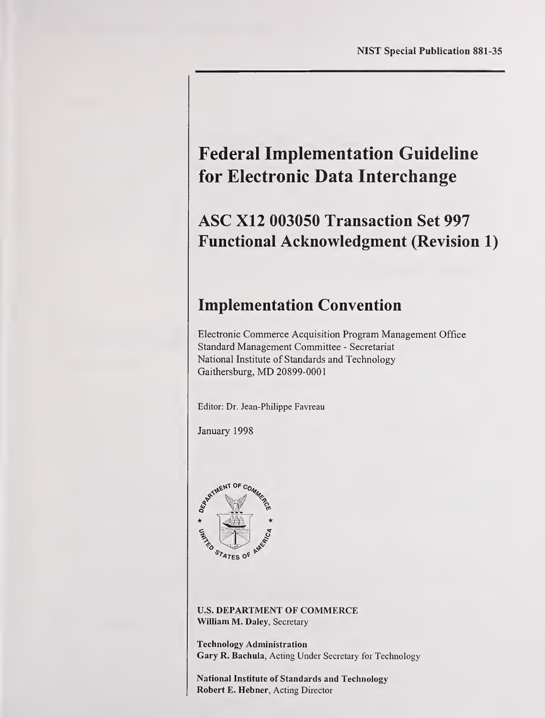# Federal Implementation Guideline for Electronic Data Interchange

# ASC X12 003050 Transaction Set 997 Functional Acknowledgment (Revision 1)

# Implementation Convention

Electronic Commerce Acquisition Program Management Office Standard Management Committee - Secretariat National Institute of Standards and Technology Gaithersburg, MD 20899-0001

Editor: Dr. Jean-Philippe Favreau

January 1998



U.S. DEPARTMENT OF COMMERCE William M. Daley, Secretary

Technology Administration Gary R. Bachula, Acting Under Secretary for Technology

National Institute of Standards and Technology Robert E. Hebner, Acting Director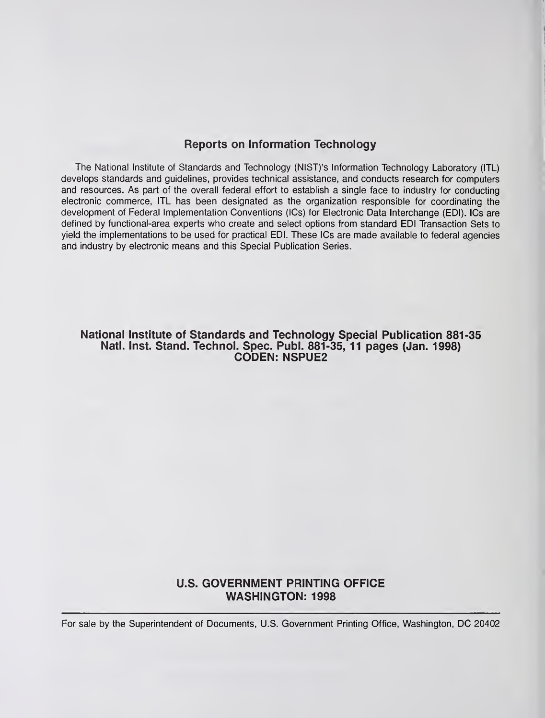#### Reports on Information Technology

The National Institute of Standards and Technology (NIST)'s Information Technology Laboratory (ITL) develops standards and guidelines, provides technical assistance, and conducts research for computers and resources. As part of the overall federal effort to establish a single face to industry for conducting electronic commerce, ITL has been designated as the organization responsible for coordinating the development of Federal Implementation Conventions (ICs) for Electronic Data Interchange (EDI). ICs are defined by functional-area experts who create and select options from standard EDI Transaction Sets to yield the implementations to be used for practical EDI. These ICs are made available to federal agencies and industry by electronic means and this Special Publication Series.

#### National Institute of Standards and Technology Special Publication 881-35 Natl. Inst. Stand. Technol. Spec. Publ. 881-35, 11 pages (Jan. 1998) CODEN: NSPUE2

#### U.S. GOVERNMENT PRINTING OFFICE WASHINGTON: 1998

For sale by the Superintendent of Documents, U.S. Government Printing Office, Washington, DC 20402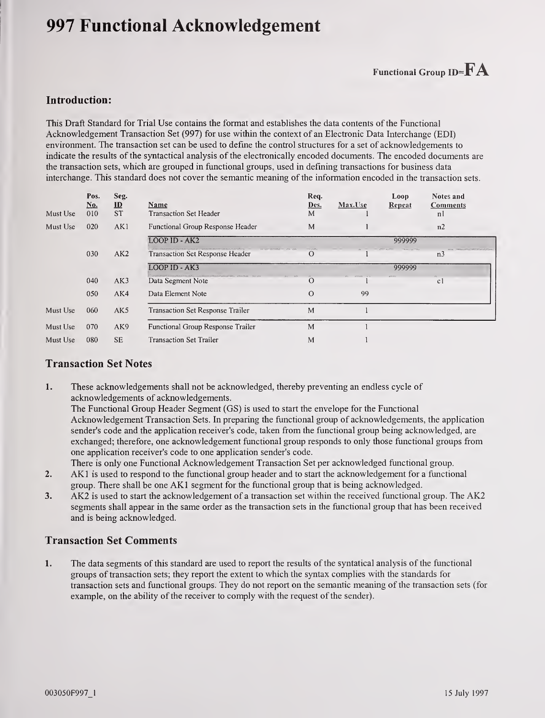#### Introduction:

This Draft Standard for Trial Use contains the format and establishes the data contents of the Functional Acknowledgement Transaction Set (997) for use within the context of an Electronic Data Interchange (EDI) environment. The transaction set can be used to define the control structures for a set of acknowledgements to indicate the results of the syntactical analysis of the electronically encoded documents. The encoded documents are the transaction sets, which are grouped in functional groups, used in defining transactions for business data interchange. This standard does not cover the semantic meaning of the information encoded in the transaction sets.

| Must Use | Pos.<br>No.<br>010 | Seg.<br>$\mathbf{I}$<br>ST | Name<br>Transaction Set Header                                        | Req.<br>Des.<br>M | Max.Use | Loop<br>Repeat | Notes and<br><b>Comments</b><br>nl                      |
|----------|--------------------|----------------------------|-----------------------------------------------------------------------|-------------------|---------|----------------|---------------------------------------------------------|
| Must Use | 020                | AK1                        | Functional Group Response Header                                      | M                 |         |                | n2                                                      |
|          |                    |                            | LOOP ID - AK2                                                         |                   |         | 999999         |                                                         |
|          | 030                | AK <sub>2</sub>            | Sax 2011 - 35 Anistra di<br>Transaction Set Response Header           | О                 |         |                | <b>MARKASHING CARDS CONTRACTORING</b><br>n <sub>3</sub> |
|          |                    |                            | LOOP ID - AK3                                                         |                   |         | 999999         |                                                         |
|          | 040                | AK3                        | with remember on the sade of all was all of some<br>Data Segment Note | О                 |         |                | c                                                       |
|          | 050                | AK4                        | Data Element Note                                                     | $\Omega$          | 99      |                |                                                         |
| Must Use | 060                | AK5                        | Transaction Set Response Trailer                                      | M                 |         |                |                                                         |
| Must Use | 070                | AK <sub>9</sub>            | Functional Group Response Trailer                                     | M                 |         |                |                                                         |
| Must Use | 080                | <b>SE</b>                  | <b>Transaction Set Trailer</b>                                        | M                 |         |                |                                                         |

#### Transaction Set Notes

1. These acknowledgements shall not be acknowledged, thereby preventing an endless cycle of acknowledgements of acknowledgements.

The Functional Group Header Segment (GS) is used to start the envelope for the Functional Acknowledgement Transaction Sets. In preparing the functional group of acknowledgements, the application sender's code and the application receiver's code, taken from the functional group being acknowledged, are exchanged; therefore, one acknowledgement functional group responds to only those functional groups from one application receiver's code to one application sender's code.

There is only one Functional Acknowledgement Transaction Set per acknowledged functional group.

- 2. AK1 is used to respond to the functional group header and to start the acknowledgement for a functional group. There shall be one AK1 segment for the functional group that is being acknowledged.
- 3. AK2 is used to start the acknowledgement of <sup>a</sup> transaction set within the received functional group. The AK2 segments shall appear in the same order as the transaction sets in the functional group that has been received and is being acknowledged.

#### Transaction Set Comments

1. The data segments of this standard are used to report the results of the syntatical analysis of the functional groups of transaction sets; they report the extent to which the syntax complies with the standards for transaction sets and functional groups. They do not report on the semantic meaning of the transaction sets (for example, on the ability of the receiver to comply with the request of the sender).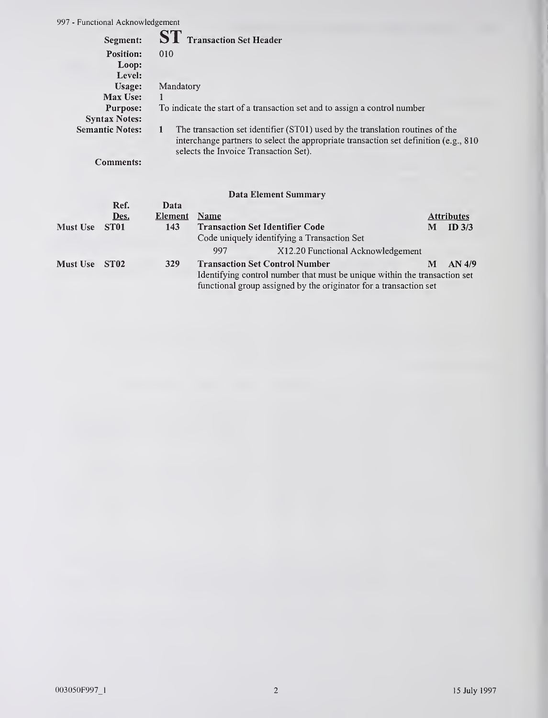| Segment:               | <b>ST</b> Transaction Set Header                                                                                                                                                                                |  |  |  |  |  |  |
|------------------------|-----------------------------------------------------------------------------------------------------------------------------------------------------------------------------------------------------------------|--|--|--|--|--|--|
| <b>Position:</b>       | 010                                                                                                                                                                                                             |  |  |  |  |  |  |
| Loop:                  |                                                                                                                                                                                                                 |  |  |  |  |  |  |
| Level:                 |                                                                                                                                                                                                                 |  |  |  |  |  |  |
| Usage:                 | Mandatory                                                                                                                                                                                                       |  |  |  |  |  |  |
| Max Use:               |                                                                                                                                                                                                                 |  |  |  |  |  |  |
| Purpose:               | To indicate the start of a transaction set and to assign a control number                                                                                                                                       |  |  |  |  |  |  |
| <b>Syntax Notes:</b>   |                                                                                                                                                                                                                 |  |  |  |  |  |  |
| <b>Semantic Notes:</b> | The transaction set identifier (ST01) used by the translation routines of the<br>interchange partners to select the appropriate transaction set definition (e.g., 810)<br>selects the Invoice Transaction Set). |  |  |  |  |  |  |
| <b>Comments:</b>       |                                                                                                                                                                                                                 |  |  |  |  |  |  |

## Data Element Summary

|                 | Ref. | Data           |             |                                                                           |   |                   |
|-----------------|------|----------------|-------------|---------------------------------------------------------------------------|---|-------------------|
|                 | Des. | <b>Element</b> | <b>Name</b> |                                                                           |   | <b>Attributes</b> |
| <b>Must Use</b> | ST01 | 143            |             | <b>Transaction Set Identifier Code</b>                                    | M | $ID$ $3/3$        |
|                 |      |                |             | Code uniquely identifying a Transaction Set                               |   |                   |
|                 |      |                | 997         | X12.20 Functional Acknowledgement                                         |   |                   |
| Must Use ST02   |      | 329            |             | <b>Transaction Set Control Number</b>                                     |   | $AN$ 4/9          |
|                 |      |                |             | Identifying control number that must be unique within the transaction set |   |                   |
|                 |      |                |             | functional group assigned by the originator for a transaction set         |   |                   |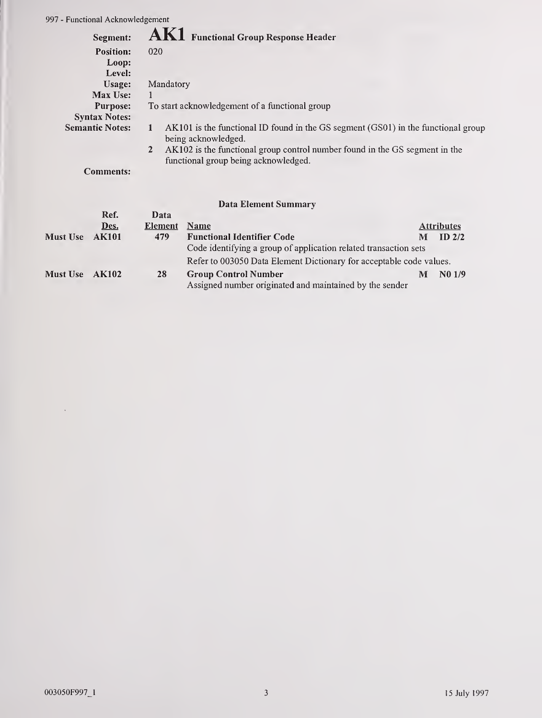| Segment:               | AK1 Functional Group Response Header                                                                                                  |
|------------------------|---------------------------------------------------------------------------------------------------------------------------------------|
| <b>Position:</b>       | 020                                                                                                                                   |
| Loop:                  |                                                                                                                                       |
| Level:                 |                                                                                                                                       |
| Usage:                 | Mandatory                                                                                                                             |
| Max Use:               |                                                                                                                                       |
| <b>Purpose:</b>        | To start acknowledgement of a functional group                                                                                        |
| <b>Syntax Notes:</b>   |                                                                                                                                       |
| <b>Semantic Notes:</b> | $AK101$ is the functional ID found in the GS segment $(GS01)$ in the functional group<br>$\bf{1}$<br>being acknowledged.              |
|                        | AK102 is the functional group control number found in the GS segment in the<br>2 <sup>1</sup><br>functional group being acknowledged. |

Comments:

#### Data Element Summary

|                 | Ref.         | Data           |                                                                     |   |                    |
|-----------------|--------------|----------------|---------------------------------------------------------------------|---|--------------------|
|                 | Des.         | <b>Element</b> | <b>Name</b>                                                         |   | <b>Attributes</b>  |
| <b>Must Use</b> | <b>AK101</b> | 479            | <b>Functional Identifier Code</b>                                   | M | $ID$ 2/2           |
|                 |              |                | Code identifying a group of application related transaction sets    |   |                    |
|                 |              |                | Refer to 003050 Data Element Dictionary for acceptable code values. |   |                    |
| Must Use AK102  |              | 28             | <b>Group Control Number</b>                                         | M | N <sub>0</sub> 1/9 |
|                 |              |                | Assigned number originated and maintained by the sender             |   |                    |

 $\bar{\mathbf{r}}$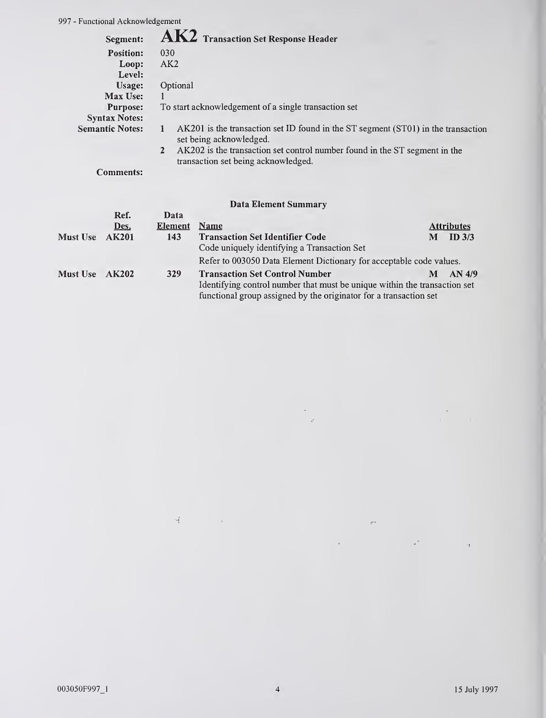| Segment:               | AK2 Transaction Set Response Header                                                                                               |
|------------------------|-----------------------------------------------------------------------------------------------------------------------------------|
| <b>Position:</b>       | 030                                                                                                                               |
| Loop:                  | AK2                                                                                                                               |
| Level:                 |                                                                                                                                   |
| Usage:                 | Optional                                                                                                                          |
| Max Use:               |                                                                                                                                   |
| <b>Purpose:</b>        | To start acknowledgement of a single transaction set                                                                              |
| <b>Syntax Notes:</b>   |                                                                                                                                   |
| <b>Semantic Notes:</b> | AK201 is the transaction set ID found in the ST segment (ST01) in the transaction<br>set being acknowledged.                      |
|                        | AK202 is the transaction set control number found in the ST segment in the<br>$\mathbf{2}$<br>transaction set being acknowledged. |

Comments:

#### Data Element Summary

|                 | Ref.         | Data           |                                                                           |   |                   |
|-----------------|--------------|----------------|---------------------------------------------------------------------------|---|-------------------|
|                 | Des.         | <b>Element</b> | Name                                                                      |   | <b>Attributes</b> |
| <b>Must Use</b> | <b>AK201</b> | 143            | <b>Transaction Set Identifier Code</b>                                    | M | ID $3/3$          |
|                 |              |                | Code uniquely identifying a Transaction Set                               |   |                   |
|                 |              |                | Refer to 003050 Data Element Dictionary for acceptable code values.       |   |                   |
| <b>Must Use</b> | AK202        | 329            | <b>Transaction Set Control Number</b>                                     | M | $AN$ 4/9          |
|                 |              |                | Identifying control number that must be unique within the transaction set |   |                   |
|                 |              |                | functional group assigned by the originator for a transaction set         |   |                   |

 $\label{eq:2} \frac{1}{\sqrt{2}}\sum_{i=1}^n\frac{1}{\sqrt{2}}\sum_{i=1}^n\frac{1}{\sqrt{2}}\sum_{i=1}^n\frac{1}{\sqrt{2}}\sum_{i=1}^n\frac{1}{\sqrt{2}}\sum_{i=1}^n\frac{1}{\sqrt{2}}\sum_{i=1}^n\frac{1}{\sqrt{2}}\sum_{i=1}^n\frac{1}{\sqrt{2}}\sum_{i=1}^n\frac{1}{\sqrt{2}}\sum_{i=1}^n\frac{1}{\sqrt{2}}\sum_{i=1}^n\frac{1}{\sqrt{2}}\sum_{i=1}^n\frac{1$ 

 $\mathcal{L}^{\text{max}}$ 

 $\label{eq:2.1} \frac{1}{2} \int_{\mathbb{R}^3} \left| \frac{d\mathbf{x}}{d\mathbf{x}} \right|^{2} \, d\mathbf{x} = \frac{1}{2} \int_{\mathbb{R}^3} \left| \frac{d\mathbf{x}}{d\mathbf{x}} \right|^{2} \, d\mathbf{x} = \frac{1}{2} \int_{\mathbb{R}^3} \left| \frac{d\mathbf{x}}{d\mathbf{x}} \right|^{2} \, d\mathbf{x} = \frac{1}{2} \int_{\mathbb{R}^3} \left| \frac{d\mathbf{x}}{d\mathbf{x}} \right|^{2} \, d\mathbf{x}$ 

 $\mathcal{A}=\mathcal{A}$ 

 $\mathcal{A}=\{1,2,3,4\}$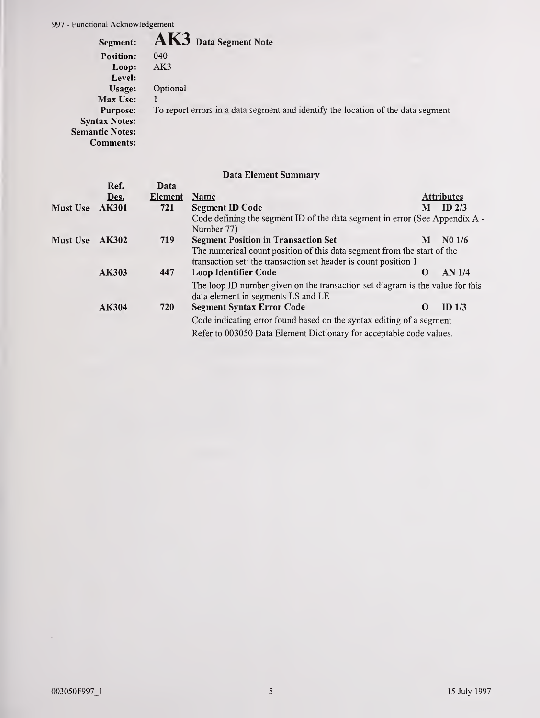| To report errors in a data segment and identify the location of the data segment |
|----------------------------------------------------------------------------------|
|                                                                                  |
|                                                                                  |
|                                                                                  |
|                                                                                  |

#### Data Element Summary

|                 | Ref.         | Data           |                                                                                                                                            |          |                   |  |  |
|-----------------|--------------|----------------|--------------------------------------------------------------------------------------------------------------------------------------------|----------|-------------------|--|--|
|                 | Des.         | <b>Element</b> | <b>Name</b>                                                                                                                                |          | <b>Attributes</b> |  |  |
| <b>Must Use</b> | <b>AK301</b> | 721            | <b>Segment ID Code</b>                                                                                                                     | M        | ID $2/3$          |  |  |
|                 |              |                | Code defining the segment ID of the data segment in error (See Appendix A -<br>Number 77)                                                  |          |                   |  |  |
| <b>Must Use</b> | <b>AK302</b> | 719            | <b>Segment Position in Transaction Set</b>                                                                                                 | M        | N01/6             |  |  |
|                 |              |                | The numerical count position of this data segment from the start of the<br>transaction set: the transaction set header is count position 1 |          |                   |  |  |
|                 | <b>AK303</b> | 447            | <b>Loop Identifier Code</b>                                                                                                                | O        | AN <sub>1/4</sub> |  |  |
|                 |              |                | The loop ID number given on the transaction set diagram is the value for this<br>data element in segments LS and LE                        |          |                   |  |  |
|                 | <b>AK304</b> | 720            | <b>Segment Syntax Error Code</b>                                                                                                           | $\Omega$ | ID $1/3$          |  |  |
|                 |              |                | Code indicating error found based on the syntax editing of a segment                                                                       |          |                   |  |  |
|                 |              |                | Refer to 003050 Data Element Dictionary for acceptable code values.                                                                        |          |                   |  |  |

 $\hat{\mathcal{L}}$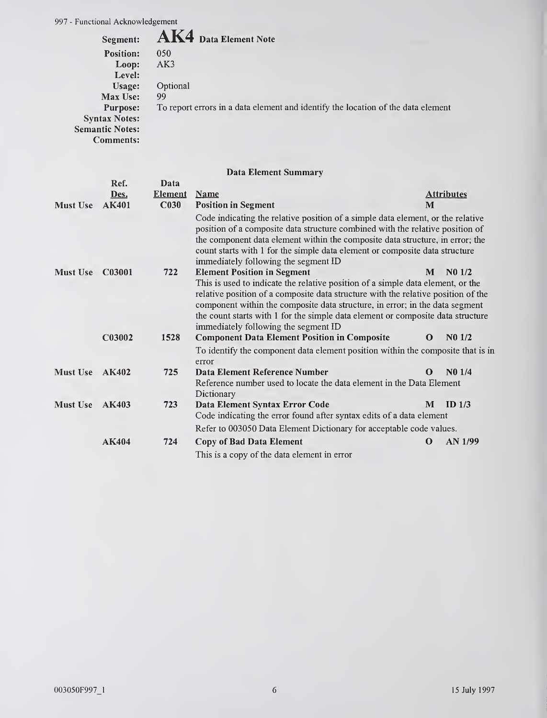| Segment:               | $AK4$ Data Element Note                                                          |
|------------------------|----------------------------------------------------------------------------------|
| <b>Position:</b>       | 050                                                                              |
| Loop:                  | AK3                                                                              |
| Level:                 |                                                                                  |
| Usage:                 | Optional                                                                         |
| Max Use:               | 99                                                                               |
| <b>Purpose:</b>        | To report errors in a data element and identify the location of the data element |
| <b>Syntax Notes:</b>   |                                                                                  |
| <b>Semantic Notes:</b> |                                                                                  |
| <b>Comments:</b>       |                                                                                  |

## Data Element Summary

|                 | Ref.         | Data             |                                                                                                                                                                                                                                                                                                                                                                                                                                        |             |                    |  |  |
|-----------------|--------------|------------------|----------------------------------------------------------------------------------------------------------------------------------------------------------------------------------------------------------------------------------------------------------------------------------------------------------------------------------------------------------------------------------------------------------------------------------------|-------------|--------------------|--|--|
|                 | Des.         | <b>Element</b>   | <b>Name</b>                                                                                                                                                                                                                                                                                                                                                                                                                            |             | <b>Attributes</b>  |  |  |
| <b>Must Use</b> | <b>AK401</b> | C <sub>030</sub> | <b>Position in Segment</b>                                                                                                                                                                                                                                                                                                                                                                                                             | M           |                    |  |  |
|                 |              |                  | Code indicating the relative position of a simple data element, or the relative<br>position of a composite data structure combined with the relative position of<br>the component data element within the composite data structure, in error; the<br>count starts with 1 for the simple data element or composite data structure<br>immediately following the segment ID                                                               |             |                    |  |  |
| <b>Must Use</b> | C03001       | 722              | <b>Element Position in Segment</b>                                                                                                                                                                                                                                                                                                                                                                                                     | M           | $N0$ 1/2           |  |  |
|                 | C03002       | 1528             | This is used to indicate the relative position of a simple data element, or the<br>relative position of a composite data structure with the relative position of the<br>component within the composite data structure, in error; in the data segment<br>the count starts with 1 for the simple data element or composite data structure<br>immediately following the segment ID<br><b>Component Data Element Position in Composite</b> | $\mathbf O$ | N <sub>0</sub> 1/2 |  |  |
|                 |              |                  | To identify the component data element position within the composite that is in<br>error                                                                                                                                                                                                                                                                                                                                               |             |                    |  |  |
| <b>Must Use</b> | <b>AK402</b> | 725              | Data Element Reference Number<br>Reference number used to locate the data element in the Data Element<br>Dictionary                                                                                                                                                                                                                                                                                                                    | 0           | N <sub>0</sub> 1/4 |  |  |
| <b>Must Use</b> | AK403        | 723              | Data Element Syntax Error Code<br>Code indicating the error found after syntax edits of a data element                                                                                                                                                                                                                                                                                                                                 | M           | ID $1/3$           |  |  |
|                 |              |                  | Refer to 003050 Data Element Dictionary for acceptable code values.                                                                                                                                                                                                                                                                                                                                                                    |             |                    |  |  |
|                 | AK404        | 724              | <b>Copy of Bad Data Element</b>                                                                                                                                                                                                                                                                                                                                                                                                        | $\Omega$    | AN 1/99            |  |  |
|                 |              |                  | This is a copy of the data element in error                                                                                                                                                                                                                                                                                                                                                                                            |             |                    |  |  |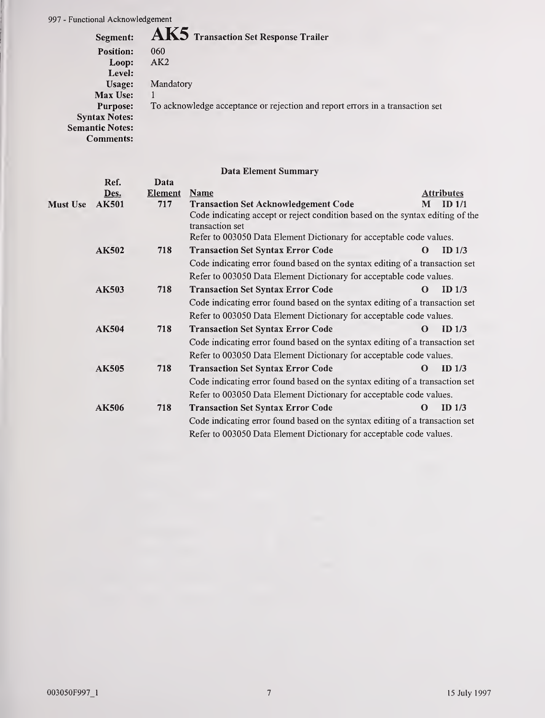| AK5 Transaction Set Response Trailer                                          |
|-------------------------------------------------------------------------------|
| 060                                                                           |
| AK2                                                                           |
|                                                                               |
| Mandatory                                                                     |
|                                                                               |
| To acknowledge acceptance or rejection and report errors in a transaction set |
|                                                                               |
|                                                                               |
|                                                                               |
|                                                                               |

## Data Element Summary

|                 | Ref.         | Data           |                                                                                                  |          |                   |
|-----------------|--------------|----------------|--------------------------------------------------------------------------------------------------|----------|-------------------|
|                 | Des.         | <b>Element</b> | <b>Name</b>                                                                                      |          | <b>Attributes</b> |
| <b>Must Use</b> | <b>AK501</b> | 717            | <b>Transaction Set Acknowledgement Code</b>                                                      | M        | ID $1/1$          |
|                 |              |                | Code indicating accept or reject condition based on the syntax editing of the<br>transaction set |          |                   |
|                 |              |                | Refer to 003050 Data Element Dictionary for acceptable code values.                              |          |                   |
|                 | AK502        | 718            | <b>Transaction Set Syntax Error Code</b>                                                         | $\Omega$ | ID $1/3$          |
|                 |              |                | Code indicating error found based on the syntax editing of a transaction set                     |          |                   |
|                 |              |                | Refer to 003050 Data Element Dictionary for acceptable code values.                              |          |                   |
|                 | <b>AK503</b> | 718            | <b>Transaction Set Syntax Error Code</b>                                                         | $\Omega$ | ID $1/3$          |
|                 |              |                | Code indicating error found based on the syntax editing of a transaction set                     |          |                   |
|                 |              |                | Refer to 003050 Data Element Dictionary for acceptable code values.                              |          |                   |
|                 | <b>AK504</b> | 718            | <b>Transaction Set Syntax Error Code</b>                                                         | $\Omega$ | ID $1/3$          |
|                 |              |                | Code indicating error found based on the syntax editing of a transaction set                     |          |                   |
|                 |              |                | Refer to 003050 Data Element Dictionary for acceptable code values.                              |          |                   |
|                 | <b>AK505</b> | 718            | <b>Transaction Set Syntax Error Code</b>                                                         | O        | ID $1/3$          |
|                 |              |                | Code indicating error found based on the syntax editing of a transaction set                     |          |                   |
|                 |              |                | Refer to 003050 Data Element Dictionary for acceptable code values.                              |          |                   |
|                 | <b>AK506</b> | 718            | <b>Transaction Set Syntax Error Code</b>                                                         | $\bf{O}$ | ID $1/3$          |
|                 |              |                | Code indicating error found based on the syntax editing of a transaction set                     |          |                   |
|                 |              |                | Refer to 003050 Data Element Dictionary for acceptable code values.                              |          |                   |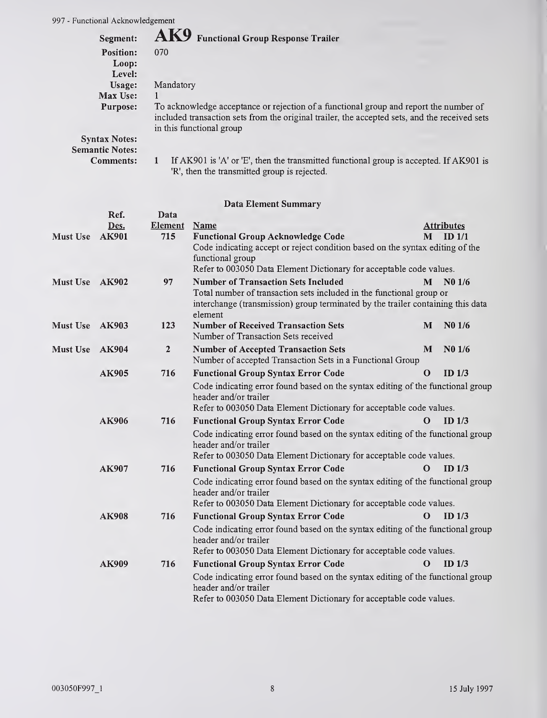| Segment:                                       | AK9 Functional Group Response Trailer                                                                                                                                                                              |
|------------------------------------------------|--------------------------------------------------------------------------------------------------------------------------------------------------------------------------------------------------------------------|
| <b>Position:</b>                               | 070                                                                                                                                                                                                                |
| Loop:                                          |                                                                                                                                                                                                                    |
| Level:                                         |                                                                                                                                                                                                                    |
| Usage:                                         | Mandatory                                                                                                                                                                                                          |
| Max Use:                                       |                                                                                                                                                                                                                    |
| <b>Purpose:</b>                                | To acknowledge acceptance or rejection of a functional group and report the number of<br>included transaction sets from the original trailer, the accepted sets, and the received sets<br>in this functional group |
| <b>Syntax Notes:</b><br><b>Semantic Notes:</b> |                                                                                                                                                                                                                    |
| <b>Comments:</b>                               | If AK901 is 'A' or 'E', then the transmitted functional group is accepted. If AK901 is                                                                                                                             |

## Data Element Summary

R', then the transmitted group is rejected.

|                 | Ref.         | Data           |                                                                                                                                                                                                                      |                 |                    |  |  |
|-----------------|--------------|----------------|----------------------------------------------------------------------------------------------------------------------------------------------------------------------------------------------------------------------|-----------------|--------------------|--|--|
|                 | Des.         | <b>Element</b> | <b>Name</b>                                                                                                                                                                                                          |                 | <b>Attributes</b>  |  |  |
| <b>Must Use</b> | <b>AK901</b> | 715            | <b>Functional Group Acknowledge Code</b><br>Code indicating accept or reject condition based on the syntax editing of the<br>functional group<br>Refer to 003050 Data Element Dictionary for acceptable code values. | $ID$ $1/1$<br>M |                    |  |  |
| Must Use AK902  |              | 97             | <b>Number of Transaction Sets Included</b>                                                                                                                                                                           | M               | N <sub>0</sub> 1/6 |  |  |
|                 |              |                | Total number of transaction sets included in the functional group or<br>interchange (transmission) group terminated by the trailer containing this data<br>element                                                   |                 |                    |  |  |
| Must Use AK903  |              | 123            | <b>Number of Received Transaction Sets</b><br>Number of Transaction Sets received                                                                                                                                    | M               | N0 1/6             |  |  |
| <b>Must Use</b> | <b>AK904</b> | $\mathbf{2}$   | <b>Number of Accepted Transaction Sets</b><br>Number of accepted Transaction Sets in a Functional Group                                                                                                              | M               | N <sub>0</sub> 1/6 |  |  |
|                 | AK905        | 716            | <b>Functional Group Syntax Error Code</b>                                                                                                                                                                            | $\mathbf{O}$    | ID $1/3$           |  |  |
|                 |              |                | Code indicating error found based on the syntax editing of the functional group<br>header and/or trailer<br>Refer to 003050 Data Element Dictionary for acceptable code values.                                      |                 |                    |  |  |
|                 | AK906        | 716            | <b>Functional Group Syntax Error Code</b>                                                                                                                                                                            | $\mathbf{O}$    | ID $1/3$           |  |  |
|                 |              |                | Code indicating error found based on the syntax editing of the functional group<br>header and/or trailer<br>Refer to 003050 Data Element Dictionary for acceptable code values.                                      |                 |                    |  |  |
|                 | AK907        | 716            | <b>Functional Group Syntax Error Code</b>                                                                                                                                                                            | $\Omega$        | ID $1/3$           |  |  |
|                 |              |                | Code indicating error found based on the syntax editing of the functional group<br>header and/or trailer<br>Refer to 003050 Data Element Dictionary for acceptable code values.                                      |                 |                    |  |  |
|                 | <b>AK908</b> | 716            | <b>Functional Group Syntax Error Code</b>                                                                                                                                                                            | $\mathbf 0$     | ID $1/3$           |  |  |
|                 |              |                | Code indicating error found based on the syntax editing of the functional group<br>header and/or trailer<br>Refer to 003050 Data Element Dictionary for acceptable code values.                                      |                 |                    |  |  |
|                 | AK909        | 716            | <b>Functional Group Syntax Error Code</b>                                                                                                                                                                            | O               | ID $1/3$           |  |  |
|                 |              |                | Code indicating error found based on the syntax editing of the functional group<br>header and/or trailer<br>Refer to 003050 Data Element Dictionary for acceptable code values.                                      |                 |                    |  |  |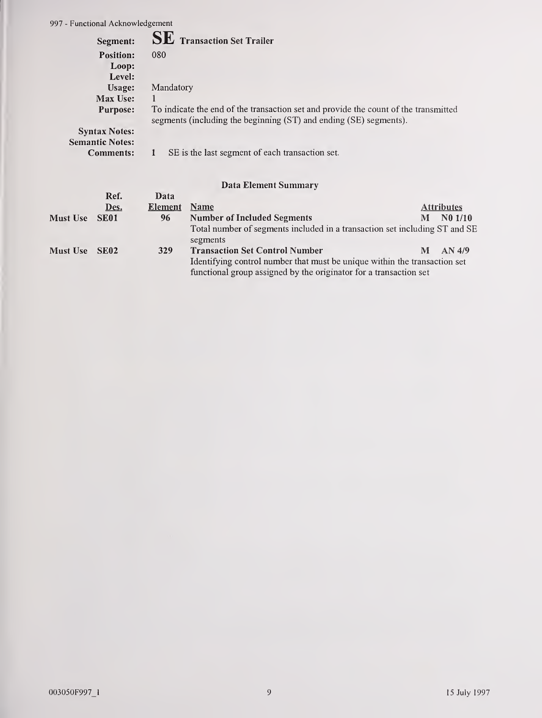|                                                                            | Segment:             |                | $SE$ Transaction Set Trailer                                                                                                                             |  |                   |  |
|----------------------------------------------------------------------------|----------------------|----------------|----------------------------------------------------------------------------------------------------------------------------------------------------------|--|-------------------|--|
| <b>Position:</b><br>080                                                    |                      |                |                                                                                                                                                          |  |                   |  |
|                                                                            | Loop:                |                |                                                                                                                                                          |  |                   |  |
| Level:                                                                     |                      |                |                                                                                                                                                          |  |                   |  |
| Mandatory<br>Usage:                                                        |                      |                |                                                                                                                                                          |  |                   |  |
| Max Use:                                                                   |                      |                |                                                                                                                                                          |  |                   |  |
| <b>Purpose:</b>                                                            |                      |                | To indicate the end of the transaction set and provide the count of the transmitted<br>segments (including the beginning (ST) and ending (SE) segments). |  |                   |  |
|                                                                            | <b>Syntax Notes:</b> |                |                                                                                                                                                          |  |                   |  |
| <b>Semantic Notes:</b>                                                     |                      |                |                                                                                                                                                          |  |                   |  |
|                                                                            | <b>Comments:</b>     | 1              | SE is the last segment of each transaction set.                                                                                                          |  |                   |  |
|                                                                            |                      |                |                                                                                                                                                          |  |                   |  |
|                                                                            |                      |                | <b>Data Element Summary</b>                                                                                                                              |  |                   |  |
|                                                                            | Ref.                 | Data           |                                                                                                                                                          |  |                   |  |
|                                                                            | Des.                 | <b>Element</b> | <b>Name</b>                                                                                                                                              |  | <b>Attributes</b> |  |
| <b>Must Use</b>                                                            | <b>SE01</b>          | 96             | <b>Number of Included Segments</b><br>M                                                                                                                  |  | $N0$ $1/10$       |  |
| Total number of segments included in a transaction set including ST and SE |                      |                |                                                                                                                                                          |  |                   |  |
|                                                                            |                      |                | segments                                                                                                                                                 |  |                   |  |
| <b>Must Use</b>                                                            | <b>SE02</b>          | 329            | <b>Transaction Set Control Number</b><br>M                                                                                                               |  | $AN$ 4/9          |  |

Identifying control number that must be unique within the transaction set

functional group assigned by the originator for a transaction set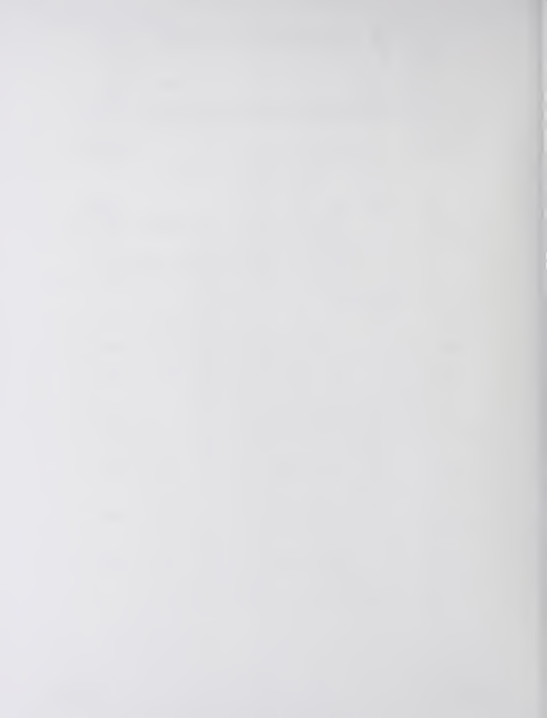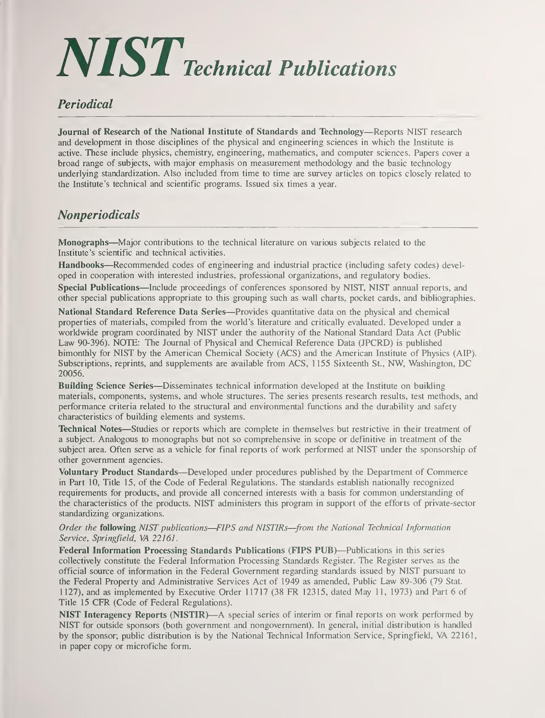# NIST Technical Publications

## Periodical

Journal of Research of the National Institute of Standards and Technology—Reports NIST research and development in those disciplines of the physical and engineering sciences in which the Institute is active. These include physics, chemistry, engineering, mathematics, and computer sciences. Papers cover a broad range of subjects, with major emphasis on measurement methodology and the basic technology underlying standardization. Also included from time to time are survey articles on topics closely related to the Institute's technical and scientific programs. Issued six times a year.

## Nonperiodicals

Monographs—Major contributions to the technical literature on various subjects related to the Institute's scientific and technical activities.

Handbooks—Recommended codes of engineering and industrial practice (including safety codes) developed in cooperation with interested industries, professional organizations, and regulatory bodies. Special Publications—Include proceedings of conferences sponsored by NIST, NIST annual reports, and other special publications appropriate to this grouping such as wall charts, pocket cards, and bibliographies.

National Standard Reference Data Series—Provides quantitative data on the physical and chemical properties of materials, compiled from the world's literature and critically evaluated. Developed under a worldwide program coordinated by NIST under the authority of the National Standard Data Act (Public Law 90-396). NOTE: The Journal of Physical and Chemical Reference Data (JPCRD) is published bimonthly for NIST by the American Chemical Society (ACS) and the American Institute of Physics (AIP). Subscriptions, reprints, and supplements are available from ACS, <sup>1155</sup> Sixteenth St., NW, Washington, DC 20056.

Building Science Series—Disseminates technical information developed at the Institute on building materials, components, systems, and whole structures. The series presents research results, test methods, and performance criteria related to the structural and environmental functions and the durability and safety characteristics of building elements and systems.

Technical Notes—Studies or reports which are complete in themselves but restrictive in their treatment of a subject. Analogous to monographs but not so comprehensive in scope or definitive in treatment of the subject area. Often serve as a vehicle for final reports of work performed at NIST under the sponsorship of other government agencies.

Voluntary Product Standards—Developed under procedures published by the Department of Commerce in Part 10, Title 15, of the Code of Federal Regulations. The standards establish nationally recognized requirements for products, and provide all concerned interests with a basis for common understanding of the characteristics of the products. NIST administers this program in support of the efforts of private-sector standardizing organizations.

#### Order the following NIST publications—FIPS and NISTIRs—from the National Technical Information Service, Springfield, VA 22161.

Federal Information Processing Standards Publications (FIPS PUB)—Publications in this series collectively constitute the Federal Information Processing Standards Register. The Register serves as the official source of information in the Federal Government regarding standards issued by NIST pursuant to the Federal Property and Administrative Services Act of 1949 as amended, Public Law 89-306 (79 Stat. 1127), and as implemented by Executive Order 11717 (38 FR 12315, dated May 11, 1973) and Part 6 of Title <sup>15</sup> CFR (Code of Federal Regulations).

NIST Interagency Reports (NISTIR)—<sup>A</sup> special series of interim or final reports on work performed by NIST for outside sponsors (both government and nongovernment). In general, initial distribution is handled by the sponsor; public distribution is by the National Technical Information Service, Springfield, VA 22161, in paper copy or microfiche form.